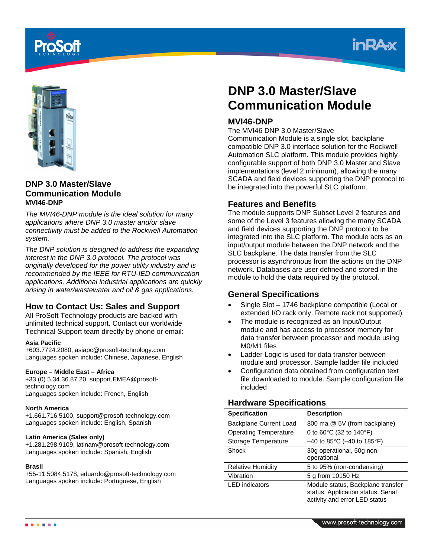





**DNP 3.0 Master/Slave Communication Module MVI46-DNP**

*The MVI46-DNP module is the ideal solution for many applications where DNP 3.0 master and/or slave connectivity must be added to the Rockwell Automation system.* 

*The DNP solution is designed to address the expanding interest in the DNP 3.0 protocol. The protocol was originally developed for the power utility industry and is recommended by the IEEE for RTU-IED communication applications. Additional industrial applications are quickly arising in water/wastewater and oil & gas applications.*

## **How to Contact Us: Sales and Support**

All ProSoft Technology products are backed with unlimited technical support. Contact our worldwide Technical Support team directly by phone or email:

#### **Asia Pacific**

+603.7724.2080, asiapc@prosoft-technology.com Languages spoken include: Chinese, Japanese, English

#### **Europe – Middle East – Africa**

+33 (0) 5.34.36.87.20, support.EMEA@prosofttechnology.com Languages spoken include: French, English

#### **North America**

+1.661.716.5100, support@prosoft-technology.com Languages spoken include: English, Spanish

#### **Latin America (Sales only)**

+1.281.298.9109, latinam@prosoft-technology.com Languages spoken include: Spanish, English

#### **Brasil**

+55-11.5084.5178, eduardo@prosoft-technology.com Languages spoken include: Portuguese, English

# **DNP 3.0 Master/Slave Communication Module**

## **MVI46-DNP**

The MVI46 DNP 3.0 Master/Slave

Communication Module is a single slot, backplane compatible DNP 3.0 interface solution for the Rockwell Automation SLC platform. This module provides highly configurable support of both DNP 3.0 Master and Slave implementations (level 2 minimum), allowing the many SCADA and field devices supporting the DNP protocol to be integrated into the powerful SLC platform.

## **Features and Benefits**

The module supports DNP Subset Level 2 features and some of the Level 3 features allowing the many SCADA and field devices supporting the DNP protocol to be integrated into the SLC platform. The module acts as an input/output module between the DNP network and the SLC backplane. The data transfer from the SLC processor is asynchronous from the actions on the DNP network. Databases are user defined and stored in the module to hold the data required by the protocol.

## **General Specifications**

- Single Slot 1746 backplane compatible (Local or extended I/O rack only. Remote rack not supported)
- The module is recognized as an Input/Output module and has access to processor memory for data transfer between processor and module using M0/M1 files
- Ladder Logic is used for data transfer between module and processor. Sample ladder file included
- Configuration data obtained from configuration text file downloaded to module. Sample configuration file included

## **Hardware Specifications**

| <b>Specification</b>         | <b>Description</b>                                                                                       |
|------------------------------|----------------------------------------------------------------------------------------------------------|
| Backplane Current Load       | 800 ma @ 5V (from backplane)                                                                             |
| <b>Operating Temperature</b> | 0 to 60°C (32 to 140°F)                                                                                  |
| Storage Temperature          | $-40$ to 85°C ( $-40$ to 185°F)                                                                          |
| Shock                        | 30g operational, 50g non-<br>operational                                                                 |
| <b>Relative Humidity</b>     | 5 to 95% (non-condensing)                                                                                |
| Vibration                    | 5 g from 10150 Hz                                                                                        |
| <b>LED</b> indicators        | Module status, Backplane transfer<br>status, Application status, Serial<br>activity and error LED status |